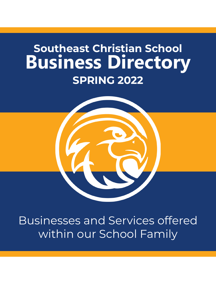

Businesses and Services offered within our School Family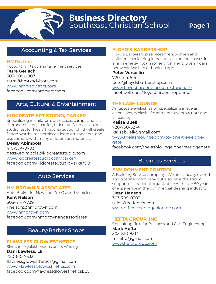# Accounting & Tax Services

### **HMRx, Inc.**

Accounting, tax & management services **Tarra Gerlach** 303-809-2807 tarra@hmrxadvisors.com www.hmrxadvisors.com facebook.com/hmrxadvisors

# Arts, Culture, & Entertainment

### **KIDCREATE ART STUDIO, PARKER**

Specializing in children's art classes, camps and art themed birthday parties, Kidcreate Studio is an art studio just for kids. At Kidcreate, your child will create fridge-worthy masterpieces, learn art concepts, and experiment with many different art materials.

**Dessy Abimbola** 410-504-9783 dessy.abimbola@kidcreatestudio.com www.kidcreatestudio.com/parker/ facebook.com/KidcreateStudioParkerCO

# Auto Services

**HM BROWN & ASSOCIATES**

Auto Broker for New and Pre-Owned Vehicles.

**Kent Nelson**  303-414-7739 knelson@hmbrown.com www.hmbrown.com facebook.com/hmbrownandassociates

# Beauty/Barber Shops

# **FLAWLESS GLOW ESTHETICS**

Skincare, Eyelash Extensions & Waxing. **Dani Lawless, LE** 720-610-7333 flawlessglowesthetics@gmail.com www.FlawlessGlowEsthetics.com facebook.com/flawlessglowestheticsLLC

# **FLOYD'S BARBERSHOP**

Floyd's Barbershop services men, women and children specializing in haircuts, color and shaves in a high energy, rock n roll environment. Open 7 days per week. Walk-in or book an appt.

**Peter Vercellin** 720-414-5151 pete@floydsbarbershop.com www.floydsbarbershop.com/stonegate facebook.com/floydsbarbershopparker

# **THE LASH LOUNGE**

An upscale eyelash salon specializing in eyelash extensions, eyelash lifts and tints, eyebrow tints and threading.

**Kalisa Buell** 720-730-5274 kalisabuell@gmail.com www.thelashlounge.com/co-lone-tree-ridge-

gate facebook.com/thelashloungelonetreeridgegate

# Business Services

# **ENVIRONMENT CONTROL**

A Building Service Company. We are a locally owned and operated company but also have the strong support of a national organization with over 50 years of experience in the commercial cleaning industry.

**Dean Hanson** 303-799-0303 sales@ecdenver.com www.officecleaningcolorado.com

# **HEFTA GROUP, INC.**

Consulting firm for Business and Civil Engineering. **Mark Hefta**  303-810-8514 mhefta@gmail.com www.heftagroup.com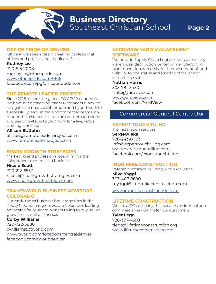# **OFFICE PRIDE OF DENVER**

Office Pride specializes in cleaning professional offices and professional medical offices.

#### **Rodney Lie**

720-515-2008 rodneylie@officepride.com www.officepride.com/0166 facebook.com/pg/officepridedenver

### **THE REMOTE LEADER PROJECT**

Since 2018, before the global COVID-19 pandemic, we have been teaching leaders (managers) how to navigate the nuances of remote and hybrid work to successfully lead united and connected teams, no matter the distance. Learn from on-demand video courses or invite us to your work for a live, virtual training workshop.

**Allison St. John** allison@remoteleaderproject.com www.remoteleaderproject.com

# **SPARK GROWTH STRATEGIES**

Marketing and professional coaching for the solopreneur to mid-sized business.

### **Nicole Scott**

720-212-6557 nicole@sparkgrowthstrategies.com www.sparkgrowthstategies.com

### **TRANSWORLD BUSINESS ADVISORS-COLORADO**

Currently the #1 business brokerage firm in the Rocky Mountain region, we are Colorado's leading advocates for business owners trying to buy, sell or grow their small businesses.

### **Corby Williams**

720-722-5880 cwilliams@tworld.com www.tworld.com/locations/centraldenver facebook.com/tworlddenver

### **YARDVIEW YARD MANAGEMENT SOFTWARE**

We provide Supply Chain Logistics software to any warehouse, distribution center or manufacturing plant operation and assist in the movement of, and visibility to, the status and location of trailer and container assets.

#### **Nathan Harris**

303-781-3430 Nate@yardview.com www.yardview.com facebook.com/YardView

# Commercial General Contractor

### **EXPERT TOUCH TILING**

Tile installation services. **Serge/Aleks** 720-243-8083 info@experttouchtiling.com www.experttouchtiling.com facebook.com/experttouchtiling

### **IRON MIKE CONSTRUCTION**

Veteran craftsmen building with excellence. **Mike Yaggi** 303-407-8690 myaggi@ironmikeconstruction.com

www.ironmikeconstruction.com

### **LIFETIME CONSTRUCTION**

We are a GC company that services residential and commercial hail claims for our customers.

**Tyler Lego** 720-377-4550 tlego@lifetimeconstruction.org www.lifetimeconstruction.org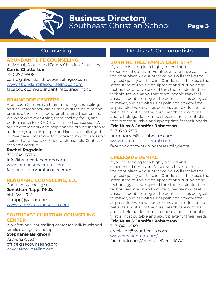# **Counseling**

### **ABUNDANT LIFE COUNSELING**

Individual, Couple, and Family Christian Counseling. **Carrie Chatterton**

#### 720-277-9508

carrie@abundantlifecounselingco.com www.abundantlifecounselingco.com facebook.com/abundantlifecounselingco

### **BRAINCODE CENTERS**

Braincode Centers is a brain mapping, counseling, and neurofeedback clinics that exists to help people optimize their heath by strengthening their brains. We work with everything from anxiety, focus, and performance to ADHD, trauma, and concussion. We are able to identify and help change brain function to address symptoms people and kids are challenged by! We have 9 locations to choose from with amazing licensed and board certified professionals. Contact us for a free consult.

### **Rachel Ragsdale**

720-649-6376 info@braincodecenters.com www.braincodecenters.com facebook.com/braincodecenters

### **RENOVARE COUNSELING, LLC**

Christian psychologist. **Jonathan Rapp, Ph.D.** 561-223-1707 dr.rapp@yahoo.com www.renovarecounseling.com

### **SOUTHEAST CHRISTIAN COUNSELING CENTER**

A professional counseling center for individuals and families of ages 3 and up.

**Stephanie Berghorn** 720-842-5553 office@secounseling.org www.secounseling.org

# Dentists & Orthodontists

#### **BURNING TREE FAMILY DENTISTRY**

If you are looking for a highly trained and experienced dentist in Franktown, you have come to the right place. At our practice, you will receive the highest quality dental care. Our dental office uses the latest state-of-the-art equipment and cutting edge technology and we uphold the strictest sterilization techniques. We know that many people may feel anxious about coming to the dentist, so it is our goal to make your visit with us as pain and anxiety free as possible. We view it as our mission to educate our patients about all of their oral health care options and to help guide them to choose a treatment plan that is most suitable and appropriate for their needs.

**Eric Nuss & Jennifer Robertson** 303-688-2515 burningtree@ssunhealth.com www.burningtreedental.com facebook.com/burningtreefamilydental

### **CREEKSIDE DENTAL**

If you are looking for a highly trained and experienced dentist in Parker, you have come to the right place. At our practice, you will receive the highest quality dental care. Our dental office uses the latest state-of-the-art equipment and cutting edge technology and we uphold the strictest sterilization techniques. We know that many people may feel anxious about coming to the dentist, so it is our goal to make your visit with us as pain and anxiety free as possible. We view it as our mission to educate our patients about all of their oral health care options and to help guide them to choose a treatment plan that is most suitable and appropriate for their needs.

**Eric Nuss & Jennifer Robertson** 303-841-0549 creekside@ssunhealth.com www.creekdental.com/ facebook.com/CreeksideDentalCO/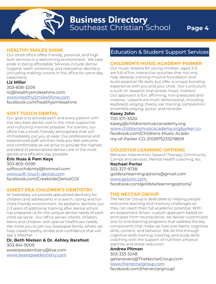### **HEALTHY SMILES SHINE**

Our small office offers friendly, personal, and high tech services in a welcoming environment. We take pride in being affordable! Services include dental hygiene, teeth whitening, and restorative dentistry (including making crowns in the office for same day treatment).

#### **Liz Miller** 303-808-3209 liz@healthysmilesshine.com www.HealthySmilesShine.com

facebook.com/healthysmilesshine

### **SOFT TOUCH DENTAL**

Our goal is to provide each and every patient with the very best dental care in the most supportive and nurturing manner possible. For starters, our office has a small, friendly atmosphere that will immediately put you at ease. Our professional and experienced staff will then help you feel welcome and comfortable as we strive to provide the highest standard of personalized dental care in the most gentle and efficient way possible.

### **Eric Nuss & Pam Keys**

303-805-0099 softtouchdental@hotmail.com www.soft-touch-dental.com facebook.com/CreeksideDentalCO/

### **SWEET PEA CHILDREN'S DENTISTRY**

At Sweetpea, we provide specialized dentistry for children and adolescents in a warm, caring and fun child-friendly environment. As pediatric dentists, our 2-3 years of additional training after dental school has prepared us for the unique dental needs of each child we serve. Our office serves infants, children, teens and children with special healthcare needs. We invite you to join our Sweetpea family, where we help create healthy smiles and confidence that will last a lifetime!

**Dr. Beth Nielsen & Dr. Ashley Barefoot** 303-841-9009 sweetpeadentistry@live.com www.sweetpeadentistry.com

# Education & Student Support Services

### **CHILDREN'S MUSIC ACADEMY PARKER**

Our music lessons for young children, aged 3-9, are full of fun, interactive activities that not only help develop a strong musical foundation and build essential life skills, but offer a unique bonding experience with you and your child. Our curriculum is built on research that proves music matters! Our approach is fun, affirming, non-pressured and creative. Lessons are multi-dimensional, including keyboard, singing, theory, ear training, composition, ensemble playing, guitar, and recorder.

# **Kasey John**

720-571-3020 kaseyj@childrensmusicacademy.org www.childrensmusicacademy.org/parker-co facebook.com/Childrens-Music-Academy-of-Parker-CO-2103975233219809

### **GOLDSTAR LEARNING OPTIONS**

Behavior Intervention, Speech Therapy, Community Camps and services, Mental Health coaching, etc.

**Rachael Porter**  303-327-9738 goldstarlearningoptions@gmail.com www.gsloinc.com facebook.com/goldstarlearningoptions/

### **THE NECTAR GROUP**

The Nectar Group is dedicated to helping people overcome learning and memory challenges so they can reach their full academic potential. With an assessment driven, custom approach based on principals from neuroscience, we deliver customized, one-to-one learning programs that address the key components that make up how one learns: cognitive skills, content, and behavior. We do this through cognitive skills training, tutoring, and study skills coaching with the support of nutrition, physical exercise and stress reduction.

### **Andrea Pitman**

303-333-3248 getanswers@TheNectarGroup.com www.thenectargroup.com facebook.com/thenectargroup/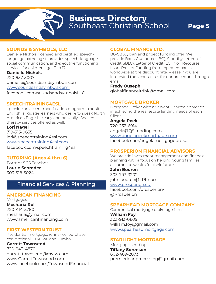# **SOUNDS & SYMBOLS, LLC**

Danielle Nichols, licensed and certified speechlanguage pathologist, provides speech, language, social communication, and executive functioning services for children ages 3 to 17.

#### **Danielle Nichols**

720-937-3007 danielle@soundsandsymbols.com www.soundsandsymbols.com facebook.com/soundsandsymbolsLLC

### **SPEECHTRAINING4ESL**

I provide an accent modification program to adult English language learners who desire to speak North American English clearly and naturally. Speech therapy services offered as well.

# **Lori Nagel**

719-315-0655 lori@speechtraining4esl.com www.speechtraining4esl.com facebook.com/speechtraining4esl

# **TUTORING (Ages 4 thru 6)**

Former SCS Teacher **Laurie Schrader** 303-518-5024

# Financial Services & Planning

### **AMERICAN FINANCING**

Mortgages. **Mesharia Rol** 720-414-5780 mesharia@ymail.com www.americanfinancing.com

### **FIRST WESTERN TRUST**

Residential mortgage, refinance, purchase, conventional, FHA, VA, and Jumbo.

**Garrett Townsend** 720-943-4870 garrett.townsend@myfw.com www.GarrettTownsend.com www.facebook.com/TownsendFinancial

### **GLOBAL FINANCE LTD.**

BG/SBLC, loan and project funding offer! We provide Bank Guarantees(BG), Standby Letters of Credit(SBLC), Letter of Credit (LC), Non Recourse Loan, Project Funding from top rated banks worldwide at the discount rate. Please if you are interested then contact us for our procedure through email.

#### **Fredy Ouseph**

globalfinanceltdhk@gmail.com

### **MORTGAGE BROKER**

Mortgage Broker with a Servant Hearted approach in achieving the real estate lending needs of each Client.

#### **Angela Peek**

720-232-6914 angela@QSLending.com www.angelapeekmortgage.com facebook.com/angelamortgagebroker

### **PROSPERION FINANCIAL ADVISORS**

We provide investment management and financial planning with a focus on helping young families accumulate wealth for their future.

**John Booren** 

303-793-3202 john.booren@LPL.com

### www.prosperion.us

facebook.com/prosperion/ @Prosperion

### **SPEARHEAD MORTGAGE COMPANY**

Commerical mortgage brokerage firm **William Foy** 303-913-0609 william.foy@gmail.com www.spearheadmortgage.com

### **STARLIGHT MORTGAGE**

Mortgage lending **Tiffany Sorenson** 602-469-2073 premierloanprocessing@gmail.com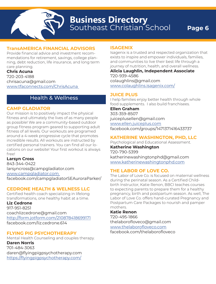

### **TransAMERICA FINANCIAL ADVISORS**

Provide financial advice and investment recommendations for retirement, savings, college planning, debt reduction, life insurance, and long term care planning.

**Chris Acuna** 720-203-4188 chrisacuna@gmail.com www.tfaconnects.com/ChrisAcuna

# Health & Wellness

### **CAMP GLADIATOR**

Our mission is to positively impact the physical fitness and ultimately the lives of as many people as possible! We are a community-based outdoor group fitness program geared to supporting adult fitness of all levels. Our workouts are programed around a 4-week progressive cycle that promotes incredible results. All workouts are instructed by certified personal trainers. You can find all our locations on our website! Your first workout is always free!

**Larsyn Cross**

843-344-0422 larsyncross@campgladiator.com www.campgladiator.com facebook.com/campgladiatorSEAuroraParker/

### **CEDRONE HEALTH & WELNESS LLC**

Certified health coach specializing in lifelong transformations, one healthy habit at a time.

### **Liz Cedrone**

917-951-8251 coachlizcedrone@gmail.com http://form.jotform.com/210878418699171 facebook.com/liz.cedrone.614

# **FLYING PIG PSYCHOTHERAPY**

Mental Health Counseling and couples therapy. **Daren Norris** 701-484-3063 daren@flyingpigpsychotherapy.com https://flyingpigpsychotherapy.com/

### **ISAGENIX**

Isagenix is a trusted and respected organization that exists to inspire and empower individuals, families, and communities to live their best life through a journey of nutrition, health, and overall wellness.

**Alicia Laughlin, Independent Associate** 720-939-4586 colaughlins@gmail.com www.colaughlins.isagenix.com/

### **JUICE PLUS**

I help families enjoy better health through whole food supplements. I also build franchisees.

### **Ellen Graham**

303-359-8507 juiceplusellen@gmail.com www.ellen.juiceplus.com facebook.com/groups/1471371416433737

### **KATHERINE WASHINGTON, PHD, LLC**

Psychological and Educational Assessment. **Katherine Washington** 720-790-5399 katherinewashingtonphd@gmail.com www.katherinewashingtonphd.com

# **THE LABOR OF LOVE CO.**

The Labor of Love Co. is focused on maternal wellness during the perinatal season. As a Certified Childbirth Instructor, Katie Renon, BBCI teaches courses to expecting parents to prepare them for a healthy pregnancy, birth and postpartum season. As well, The Labor of Love Co. offers hand-curated Pregnancy and Postpartum Care Packages to nourish and pamper mothers.

### **Katie Renon**

720-495-1866 thelaborofloveco@gmail.com www.thelaborofloveco.com

facebook.com/thelaborofloveco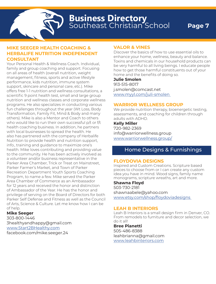### **MIKE SEEGER HEALTH COACHING & HERBALIFE NUTRITION INDEPENDENT CONSULTANT**

Your Personal Health & Wellness Coach. Individual, family and group coaching and support. Focusing on all areas of health (overall nutrition, weight management, fitness, sports and active lifestyle performance, kids nutrition, immune system support, skincare and personal care, etc.). Mike offers free 1-1 nutrition and wellness consultations, a scientific 9 point health test, small and large group nutrition and wellness classes and corporate wellness programs. He also specializes in conducting various fun challenges throughout the year (Wt Loss, Body Transformation, Family Fit, Mind & Body and many others). Mike is also a Mentor and Coach to others who would like to run their own successful p/t or f/t health coaching business. In addition, he partners with local businesses to spread the health. He also has partnered with the company of Herbalife Nutrition to provide health and nutrition support, info., training and guidance to maximize one's health. Mike loves contributing and providing value to the community. He has been actively involved as a volunteer and/or business representative in the Parker Area Chamber, Trick or Treat on Mainstreet, Parker Farmer's Market, and Town of Parker Recreation Department Youth Sports Coaching Program, to name a few. Mike served the Parker Area Chamber of Commerce as an Ambassador for 12 years and received the honor and distinction of Ambassador of the Year. He has the honor and privilege of serving on the Board of Directors for both Parker Self Defense and Fitness as well as the Council of Arts, Science & Culture. Let me know how I can be of help.

# **Mike Seeger**

303-800-1446 3healthyandhappy@gmail.com www.Start2BHealthy.com facebook.com/mike.seeger.24

# **VALOR & VINES**

Discover the basics of how to use essential oils to enhance your home, wellness, beauty and balance. Toxins and chemicals in our household products can be very harmful to all living beings. I educate people how to get those harmful constituents out of your home and the benefits of doing so.

#### **Julie Smolen**

913-515-8017 j.smolen@comcast.net www.myyl.com/juli-smolen

# **WARRIOR WELLNESS GROUP**

We provide nutrition therapy, bioenergetic testing, assessments, and coaching for children through adults with ADHD.

### **Kelly Miller**

720-982-2369 info@warriorwellness.group www.warriorwellness.group/

# Home Designs & Furnishings

### **FLOYDOVIA DESIGNS**

Inspired and Custom Creations. Scripture based pieces to choose from or I can create any custom idea you have in mind. Wood signs, family name monograms, scripture wreaths, art and more.

# **Shawna Floyd**

503-730-2181 shawnaabele@yahoo.com www.etsy.com/shop/floydoviadesigns

### **LEAH B INTERIORS**

Leah B Interiors is a small design firm in Denver, CO. From remodels to furniture and decor selection, we do it all!

**Bree Pianetti** 505-486-8388 leahbrianna@gmail.com www.leahbinteriors.com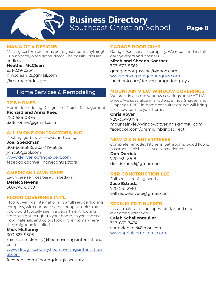

### **MAMA OF 4 DESIGNS**

Making custom creations out of just about anything! Fun apparel, wood signs, decor. The possibilities are endless.

**Heather McClean** 831-239-0234 hmcclean12@gmail.com @mamaof4designs

# Home Services & Remodeling

# **3218 HOMES**

Home Remodeling Design and Project Management **Richard and Anna Reed** 720-556-0876 3218homes@gmail.com

# **ALL IN ONE CONTRACTORS, INC**

Roofing, gutters, windows, and siding. **Joel Speckman** 303-663-5615, 303-419-6629 j44c50@aol.com www.denverroofingexpert.com facebook.com/allinonecontractors

# **AMERICAN LAWN CARE**

Lawn care services based in Sedalia.

**Derek Stevens** 303-949-9709

# **FLOOR COVERINGS INT'L**

Floor Coverings International is a full service flooring company, with our process, we bring samples that you would typically see in a department flooring store straight to right to your home, so you can see how materials and colors look in the rooms where they might be installed.

# **Mick McKenny**

303-323-9505

michael.mckenny@floorcoveringsinternational. com

www.douglascounty.floorcoveringsinternational.com facebook.com/flooringdouglascounty

# **GARAGE DOOR GUYS**

Garage Door service company. We repair and install garage doors and openers.

**Mitch and Sheena Koerner** 303-576-8662 garagedoorguysinc@yahoo.com www.denvergaragedoorguys.com facebook.com/denvergaragedoorguys

# **MOUNTAIN VIEW WINDOW COVERINGS**

We provide custom window coverings at AMAZING prices. We specialize in Shutters, Blinds, Shades, and Draperies. FREE in-home consultation. We will bring the showroom to your home.

### **Chris Royer**

720-364-9774 mountainviewwindowcoverings@gmail.com facebook.com/premiumblindsdirect

# **NEW D & N ENTERPRISES**

Complete remodel, kitchens, bathrooms, wood floors, basement finishes; 40 years experience

#### **Don Derrick** 720-921-5618

donderrick3@gmail.com

# **R&R CONSTRUCTION LLC**

Full service roofing needs

**Jose Estrada** 720-231-2910 wilfredoesrivera@gmail.com

# **SPRINKLER TINKERER**

Install, maintain, start-up, winterize, and repair everything irrigation.

**Caleb Schallenmuller** 303-653-7474 sprinklersrock@msn.com www.sprinklertinkerer.com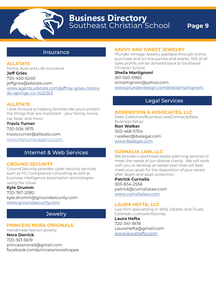

### Insurance

### **ALLSTATE**

Home, Auto and Life Insurance **Jeff Gries** 720-450-6240 jeffgries@allstate.com www.agents.allstate.com/jeffrey-gries-colorado-springs-co-1422363

### **ALLSTATE**

I look forward to helping families like yours protect the things that are important - your family, home, car, boat, and more.

**Travis Turner** 720-506-1875 travis.turner@allstate.com www.theturneragency.com

# Internet & Web Services

### **GROUND SECURITY**

Ground Security provides cyber security services such as PCI Compliance consulting as well as business intelligence automation technologies using the cloud.

### **Kyle Drumm**

720-767-2082 kyle.drumm@groundsecurity.com www.groundsecurity.com

# **Jewelry**

# **PRINCESS NORA ORIGINALS**

Handmade fashion jewelry. **Nora Derrick** 720-921-5619 princessnorad@gmail.com facebook.com/princessnorashoppe

# **SAVVY AND SWEET JEWELRY**

Plunder Vintage Jewelry available through online purchase and on-line parties and events. 10% of all sales profits will be donated back to Southeast Christian School.

**Sheila Martignoni** 361-550-0982 srmartignoni@yahoo.com www.plunderdesign.com/sheilamartignoni

# Legal Services

#### **BORENSTEIN & ASSOCIATES, LLC**

Debt Collection/Business Law/Contracts/New Business Setup

**Ron Walker** 303-468-5754 r.walker@ibalegal.com www.ibalegal.com

### **CURNALIA LAW, LLC**

We provide customized estate planning services to meet the needs of our diverse clients. We will work with you to develop an estate plan that will best meet your goals for the disposition of your estate after death and asset protection.

**Patrick Curnalia** 303-834-2556 patrick@curnalialaw.com www.curnalialaw.com

### **LAURA HEFTA, LLC**

Law firm specializing in Wills, Estates and Trusts. Colorado Licensed Attorney

**Laura Hefta** 720-341-1878 LauraHefta@gmail.com www.laurahefta.com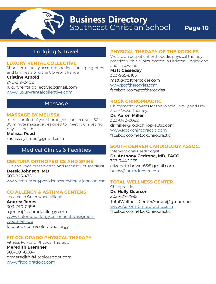# Lodging & Travel

### **LUXURY RENTAL COLLECTIVE**

Short-term luxury accommodations for large groups and families along the CO Front Range

**Cristine Arnold** 970-219-2402

luxuryrentalcollective@gmail.com www.luxuryrentalcollective.com

# Massage

### **MASSAGE BY MELISSA**

In the comfort of your home, you can receive a 60 or 90 minute massage designed to meet your specific physical needs.

**Melissa Reed**

melissalynreed@gmail.com

# Medical Clinics & Facilities

### **CENTURA ORTHOPEDICS AND SPINE**

Hip and knee preservation and reconstruct specialist **Derek Johnson, MD** 303-925-4750 www.centura.org/provider-search/derek-johnson-md

# **CO ALLERGY & ASTHMA CENTERS**

Located in Greenwood Village. **Andrea Jones** 303-740-0998 a.jones@coloradoallergy.com www.coloradoallergy.com/locations/greenwood-village facebook.com/coloradoallergy

# **FIT COLORADO PHYSICAL THERAPY**

Fitness Forward Physical Therapy. **Meredith Bremner** 303-801-8684 drmeredith@fitcoloradopt.com www.fitcoloradopt.com

# **PHYSICAL THERAPY OF THE ROCKIES**

We are an outpatient orthopedic physical therapy practice with 3 clinics located in Littleton, Englewood, and Lakewood.

**Matt Casseday** 303-955-8163 matt@ptoftherockies.com www.ptoftherockies.com facebook.com/ptoftherockies

### **ROCK CHIROPRACTIC**

Chiropractic Services for the Whole Family and New Stem Wave Therapy. **Dr. Aaron Miller** 303-840-2092 drmiller@rockchiropractic.com www.Rockchiropractic.com

facebook.com/RockChiropractic

# **SOUTH DENVER CARDIOLOGY ASSOC.**

Interventional Cardiologist **Dr. Anthony Cedrone, MD, FACC** 303-744-1065 elizabeth.bower65@gmail.com https://southdenver.com

# **TOTAL WELLNESS CENTER**

Chiropractic. **Dr. Holly Geersen** 303-627-7995 TotalWellnessCenterAurora@gmail.com www.Aurora-Chiropractic.com facebook.com/RockChiropractic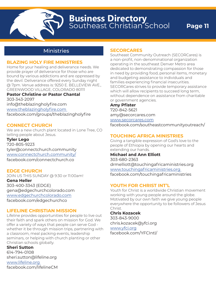# Ministries

### **BLAZING HOLY FIRE MINISTRIES**

Home for your healing and deliverance needs. We provide prayer of deliverance for those who are bound by various addictions and are oppressed by the devil. Deliverance offered every Sunday night @ 7pm. Venue address is: 9250 E. BELLEVIEW AVE., GREENWOOD VILLAGE, COLORADO 80111

# **Pastor Christine or Pastor Chantal**

303-343-2097 info@theblazingholyfire.com www.theblazingholyfire.com facebook.com/groups/theblazingholyfire

### **CONNECT CHURCH**

We are a new church plant located in Lone Tree, CO telling people about Jesus. **Tyler Lego**

720-805-9223 tyler@connectchurch.community www.connectchurch.community/ facebook.com/connectchurch.co

### **EDGE CHURCH**

JOIN US THIS SUNDAY @ 9:30 or 11:00am! **Gena Heller** 303-400-3343 (EDGE) gena@edgechurchcolorado.com www.edgechurchcolorado.com facebook.com/edgechurchco

### **LIFELINE CHRISTIAN MISSION**

Lifeline provides opportunities for people to live out their faith and spark others on mission for God. We offer a variety of ways that people can serve God whether it be through mission trips, partnering with a classroom, meal packing events, leadership seminars, or helping with church planting or other Christian schools globally.

**Sheri Sutton** 614-794-0108 sheri.sutton@lifeline.org www.lifeline.org facebook.com/lifelineCM

### **SECORCARES**

Southeast Community Outreach (SECORCares) is a non-profit, non-denominational organization operating in the southeast Denver Metro area dedicated to demonstrating compassion for those in need by providing food, personal items, monetary and budgeting assistance to individuals and families experiencing financial insecurities. SECORCares strives to provide temporary assistance which will allow recipients to succeed long term, without dependence on assistance from charitable or government agencies.

### **Amy Pfister**

720-842-5621 amy@secorcares.com www.secorcares.com

facebook.com/southeastcommunityoutreach/

### **TOUCHING AFRICA MINISTRIES**

Giving a tangible expression of God's love to the people of Ethiopia by opening our hearts and extending our hands.

### **Michael and Ann Elliott**

303-680-2363 drmelliott@touchingafricaministries.org www.touchingafricaministries.org facebook.com/touchingafricaministries

### **YOUTH FOR CHRIST INT'L**

Youth for Christ is a worldwide Christian movement working with young people around the globe. Motivated by our own faith we give young people everywhere the opportunity to be followers of Jesus Christ.

### **Chris Kozacek**

303-843-9000 chris.kozacek@yfci.org www.yfci.org facebook.com/YFCIntl/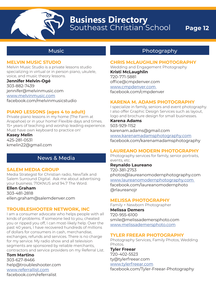

# Music

### **MELVIN MUSIC STUDIO**

Melvin Music Studio is a private lessons studio specializing in virtual or in person piano, ukulele, voice, and music theory lessons.

#### **Jennifer Melvin-Ogé**

303-882-7439 jennifer@melvinmusic.com www.melvinmusic.com facebook.com/melvinmusicstudio

### **PIANO LESSONS (ages 4 to adult)**

Private piano lessons in my home (The Farm at Arapahoe) or in your home! Flexible days and times. 15+ years of teaching and worship leading experience. Must have own keyboard to practice on!

**Kasey Melin** 425-281-0531 kmelin22@gmail.com

# News & Media

### **SALEM MEDIA GROUP**

Media Strategist for Christian radio, NewTalk and Salem Surround Digital. Ask me about advertising your business. 710KNUS and 94.7 The Word.

**Ellen Graham**

303-481-2818

ellen.graham@salemdenver.com

### **TROUBLESHOOTER NETWORK, INC**

I am a consumer advocate who helps people with all kinds of problems. If someone lied to you, cheated you or ripped you off, I can most-likely help. Over the past 40 years, I have recovered hundreds of millions of dollars for consumers in cash, merchandise, exchanges, refunds and services. There is no charge for my service. My radio show and all television segments are sponsored by reliable merchants, contractors and service providers on my Referral List.

### **Tom Martino** 303-627-8466

help@troubleshooter.com www.referrallist.com facebook.com/referralist

# Photography

#### **CHRIS McLAUGHLIN PHOTOGRAPHY**

Wedding and Engagement Photography **Kristi McLaughlin** 720-771-5881 office@cmpdenver.com www.cmpdenver.com facebook.com/cmpdenver

### **KARENA M. ADAMS PHOTOGRAPHY**

I specialize in family, seniors and event photography. I also offer Graphic Design Services such as layout, logo and brochure design for small businesses.

**Karena Adams** 503-929-1152

karenam.adams@gmail.com www.karenamadamsphotography.com facebook.com/karenamadamsphotography

### **LAUREANO MODERN PHOTOGRAPHY**

Photography services for family, senior portraits, events, etc.

**Reynaldo Laureano** 720-381-2753 photos@laureanomodernphotography.com www.laureanomodernphotography.com facebook.com/laureanomodernphoto @rlaureanojr

### **MELISSA PHOTOGRAPHY**

Family + Newborn Photographer

**Melissa Demers** 720-955-6100 smile@melissademersphoto.com www.melissademersphoto.com

### **TYLER FREEAR PHOTOGRAPHY**

Photography Services, Family Photos, Wedding Photos.

**Tyler Freear**

720-402-5523 ty@tylerfreear.com www.tylerfreear.com

facebook.com/Tyler-Freear-Photography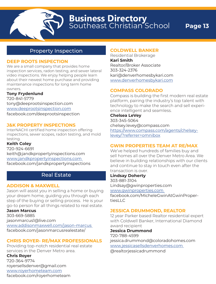# Property Inspection

# **DEEP ROOTS INSPECTION**

We are a small company that provides home inspection services, radon testing, and sewer lateral video inspections. We enjoy helping people learn about their newest home purchase and providing maintenance inspections for long term home owners.

### **Tony Frydenlund**

720-841-5779 tony@deeprootsinspection.com www.deeprootsinspection.com facebook.com/deeprootsinspection

# **J&K PROPERTY INSPECTIONS**

InterNACHI certified home inspection offering inspections, sewer scopes, radon testing, and mold testing.

### **Keith Coley**

720-924-6691 keith@jandkpropertyinspections.com www.jandkpropertyinspections.com facebook.com/jandkpropertyinspections

# Real Estate

# **ADDISON & MAXWELL**

Jason will assist you in selling a home or buying your dream home, guiding you through each step of the buying or selling process. He is your go-to person for all things related to real estate.

**Jason Marcus** 303-669-5885 jasonmarcus1@live.com www.addisonmaxwell.com/jason-marcus facebook.com/jasonmarcusrealestate/

# **CHRIS ROYER- RE/MAX PROFESSIONALS**

Providing top-notch residential real estate services in the Denver Metro area.

# **Chris Royer**

720-364-9774 royersellsdenver@gmail.com www.royerhometeam.com facebook.com/royerhometeam

### **COLDWELL BANKER**

Residential Brokerage **Kari Smith** Realtor/Broker Associate 303-324-2376 kari@denverhomesbykari.com www.denverhomesbykari.com

### **COMPASS COLORADO**

Compass is building the first modern real estate platform, pairing the industry's top talent with technology to make the search and sell experience intelligent and seamless.

**Chelsea LeVey** 303-345-5064 chelsey.levey@compass.com https://www.compass.com/agents/chelseylevey/?referrer=omnibox

# **GWIN PROPERTIES TEAM AT RE/MAX**

We've helped hundreds of families buy and sell homes all over the Denver Metro Area. We believe in building relationships with our clients and continue to stay in touch even after the transaction is over.

### **Lindsay Doherty**

303-881-3104 Lindsay@gwinproperties.com www.gwinproperties.com

facebook.com/MicheleGwinAtGwinPropertiesLLC

### **JESSICA DRUMMOND, REALTOR**

12 year Parker based Realtor residential expert with Coldwell Banker, International Diamond award recipient

### **Jessica Drummond**

720-788-4599 jessica.drummond@coloradohomes.com www.jessicasellsdenverhomes.com @realtorjessicadrummond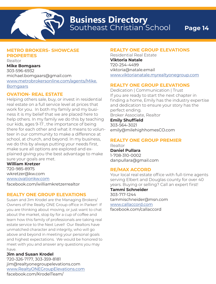# **METRO BROKERS- SHOWCASE PROPERTIES**

Realtor **Mike Bomgaars** 303-596-6932 michael.bomgaars@gmail.com www.metrobrokersonline.com/agents/Mike. **Bomgaars** 

### **OVATION- REAL ESTATE**

Helping others sale, buy, or invest in residential real estate on a full service level at prices that work for you. In both my family and my business it is my belief that we are placed here to help others. In my family we do this by teaching our kids, ages 9-17 , the importance of being there for each other and what it means to volunteer in our community to make a difference at school, at church, and beyond. In my business, we do this by always putting your needs first, make sure all options are explored and explained giving you the best advantage to make sure your goals are met.

**William Kretzer** 720-985-8975 wkretzer@kw.com www.ovationkw.com facebook.com/williamkretzerrealtor

### **REALTY ONE GROUP ELEVATIONS**

Susan and Jim Krodel are the Managing Brokers/ Owners of the Realty ONE Group office in Parker! If you are thinking about moving, or just want to chat about the market, stop by for a cup of coffee and learn how this family of professionals are taking real estate service to the Next Level! Our Realtors have unmatched character and integrity, who will go above and beyond in meeting your personal goals and highest expectations. We would be honored to meet with you and answer any questions you may have.

#### **Jim and Susan Krodel**

720-326-7177, 303-359-8181 jim@realtyonegroupelevations.com www.RealtyONEGroupElevations.com facebook.com/KrodelTeam/

### **REALTY ONE GROUP ELEVATIONS**

Residential Real Estate **Viktoria Natale** 720-254-4499 viktoria@natale.email www.viktorianatale.myrealtyonegroup.com

# **REALTY ONE GROUP ELEVATIONS**

Dedication | Communication | Trust If you are ready to start the next chapter in finding a home, Emily has the industry expertise and dedication to ensure your story has the perfect ending. Broker Associate, Realtor **Emily Shuffield** 303-564-3021 emily@milehighhomesCO.com

# **REALTY ONE GROUP PREMIER**

Realtor **Daniel Pullara** 1-708-310-0002 danpullara@gmail.com

### **RE/MAX ACCORD**

Your local real estate office with full-time agents serving Elbert and Douglas county for over 40 years. Buying or selling? Call an expert first! **Tammi Schneider** 303-717-1244 tammischneider@msn.com www.callaccord.com facebook.com/callaccord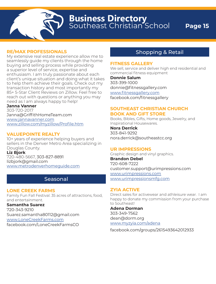**Business Directory** Southeast Christian School **Page 15 Business Directory**

### **RE/MAX PROFESSIONALS**

My extensive real estate experience allow me to seamlessly guide my clients through the home buying and selling process while providing a superior level of service, expertise and enthusiasm. I am truly passionate about each client's unique situation and doing what it takes to help them achieve their goals. Check out my transaction history and most importantly my 85+ 5-Star Client Reviews on Zillow. Feel free to reach out with questions or anything you may need as I am always happy to help!

#### **Janna Vanner**

303-720-2017 Janna@GriffithHomeTeam.com www.jannavanner.com www.zillow.com/myzillow/Profile.htm

### **VALUEPOINTE REALTY**

10+ years of experience helping buyers and sellers in the Denver Metro Area specializing in Douglas County. **Liz Bjork**

720-480-5667, 303-827-8891 lizbjork@gmail.com www.metrodenverhomeguide.com

# Seasonal

### **LONE CREEK FARMS**

Family Fun Fall Festival. 35 acres of attractions, food, and entertainment.

**Samantha Suarez**

720-343-9210 Suarez.samantha80112@gmail.com www.LoneCreekFarms.com facebook.com/LoneCreekFarmsCO

# Shopping & Retail

#### **FITNESS GALLERY**

We sell, service and deliver high end residential and commercial fitness equipment

**Donnie Salum** 303-399-1000 donnie@fitnessgallery.com www.fitnessgallery.com facebook.com/fitnessgallery

### **SOUTHEAST CHRISTIAN CHURCH BOOK AND GIFT STORE**

Books, Bibles, Gifts, Home goods, Jewelry, and Inspirational Housewares.

**Nora Derrick** 303-841-9292 nora.derrick@southeastcc.org

### **UR IMPRESSIONS**

Graphic design and vinyl graphics. **Brandon Debel** 720-608-7222 customer.support@urimpressions.com www.urimpressions.com www.urimpressionsmfg.com

### **ZYIA ACTIVE**

Direct sales for activewear and athleisure wear. I am happy to donate my commission from your purchase to Southeast!

**Adena Dorman** 303-349-7562 dean@dorm.org www.myzyia.com/adena

facebook.com/groups/2615493642012933